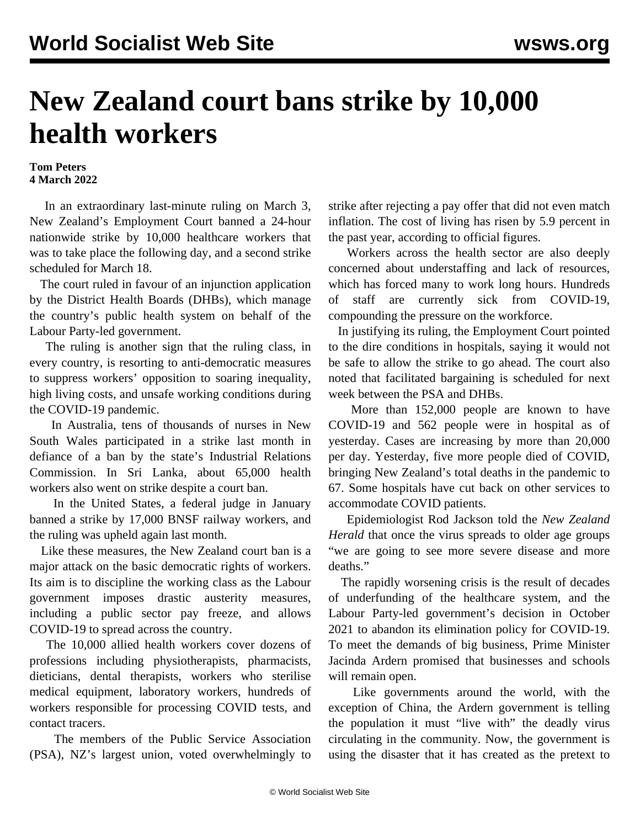## **New Zealand court bans strike by 10,000 health workers**

## **Tom Peters 4 March 2022**

 In an extraordinary last-minute ruling on March 3, New Zealand's Employment Court banned a 24-hour nationwide strike by 10,000 healthcare workers that was to take place the following day, and a second strike scheduled for March 18.

 The court ruled in favour of an injunction application by the District Health Boards (DHBs), which manage the country's public health system on behalf of the Labour Party-led government.

 The ruling is another sign that the ruling class, in every country, is resorting to anti-democratic measures to suppress workers' opposition to soaring inequality, high living costs, and unsafe working conditions during the COVID-19 pandemic.

 In Australia, tens of thousands of nurses in New South Wales participated in a [strike](/en/articles/2022/02/15/nswn-f15.html) last month in defiance of a ban by the state's Industrial Relations Commission. In Sri Lanka, about 65,000 health workers [also](/en/articles/2022/02/12/slhw-f12.html) went on strike despite a court ban.

 In the United States, a federal judge in January banned a strike by 17,000 BNSF railway workers, and the ruling was [upheld](/en/articles/2022/02/24/pers-f24.html) again last month.

 Like these measures, the New Zealand court ban is a major attack on the basic democratic rights of workers. Its aim is to discipline the working class as the Labour government imposes drastic austerity measures, including a public sector pay freeze, and allows COVID-19 to spread across the country.

 The 10,000 allied health workers cover dozens of professions including physiotherapists, pharmacists, dieticians, dental therapists, workers who sterilise medical equipment, laboratory workers, hundreds of workers responsible for processing COVID tests, and contact tracers.

 The members of the Public Service Association (PSA), NZ's largest union, [voted](/en/articles/2022/02/21/npsa-f21.html) overwhelmingly to strike after rejecting a pay offer that did not even match inflation. The cost of living has risen by 5.9 percent in the past year, according to official figures.

 Workers across the health sector are also deeply concerned about understaffing and lack of resources, which has forced many to work long hours. Hundreds of staff are currently sick from COVID-19, compounding the pressure on the workforce.

 In justifying its ruling, the Employment Court pointed to the dire conditions in hospitals, saying it would not be safe to allow the strike to go ahead. The court also noted that facilitated bargaining is scheduled for next week between the PSA and DHBs.

 More than 152,000 people are known to have COVID-19 and 562 people were in hospital as of yesterday. Cases are increasing by more than 20,000 per day. Yesterday, five more people died of COVID, bringing New Zealand's total deaths in the pandemic to 67. Some hospitals have cut back on other services to accommodate COVID patients.

 Epidemiologist Rod Jackson told the *New Zealand Herald* that once the virus spreads to older age groups "we are going to see more severe disease and more deaths."

 The rapidly worsening crisis is the result of decades of underfunding of the healthcare system, and the Labour Party-led government's decision in October 2021 to abandon its elimination policy for COVID-19. To meet the demands of big business, Prime Minister Jacinda Ardern promised that businesses and schools will remain open.

 Like governments around the world, with the exception of China, the Ardern government is telling the population it must "live with" the deadly virus circulating in the community. Now, the government is using the disaster that it has created as the pretext to